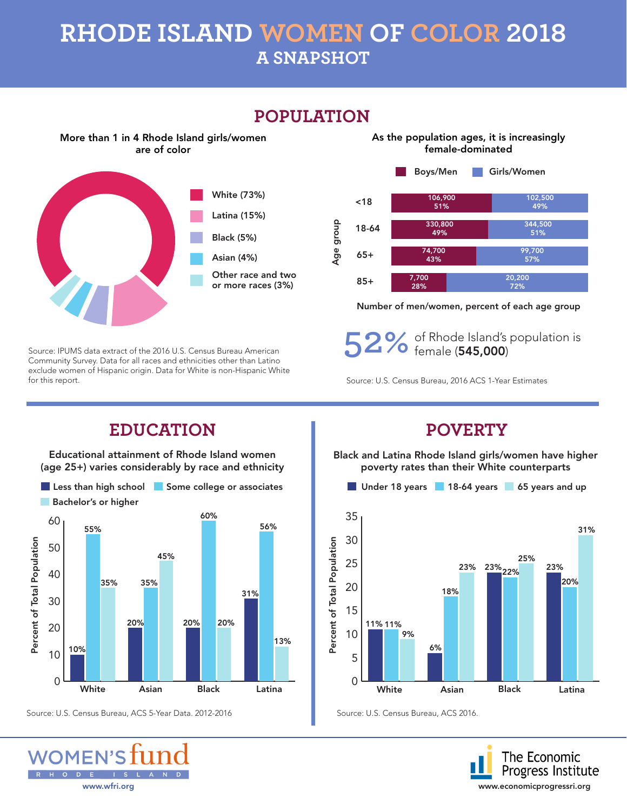## **RHODE ISLAND WOMEN OF COLOR 2018 A SNAPSHOT**



Source: IPUMS data extract of the 2016 U.S. Census Bureau American Community Survey. Data for all races and ethnicities other than Latino exclude women of Hispanic origin. Data for White is non-Hispanic White for this report.



#### **POPULATION**

Number of men/women, percent of each age group

**52%** of Rhode Island's population is female (545,000)

Source: U.S. Census Bureau, 2016 ACS 1-Year Estimates

### **EDUCATION POVERTY**

Educational attainment of Rhode Island women (age 25+) varies considerably by race and ethnicity



Source: U.S. Census Bureau, ACS 5-Year Data. 2012-2016 Source: U.S. Census Bureau, ACS 2016.



Black and Latina Rhode Island girls/women have higher poverty rates than their White counterparts



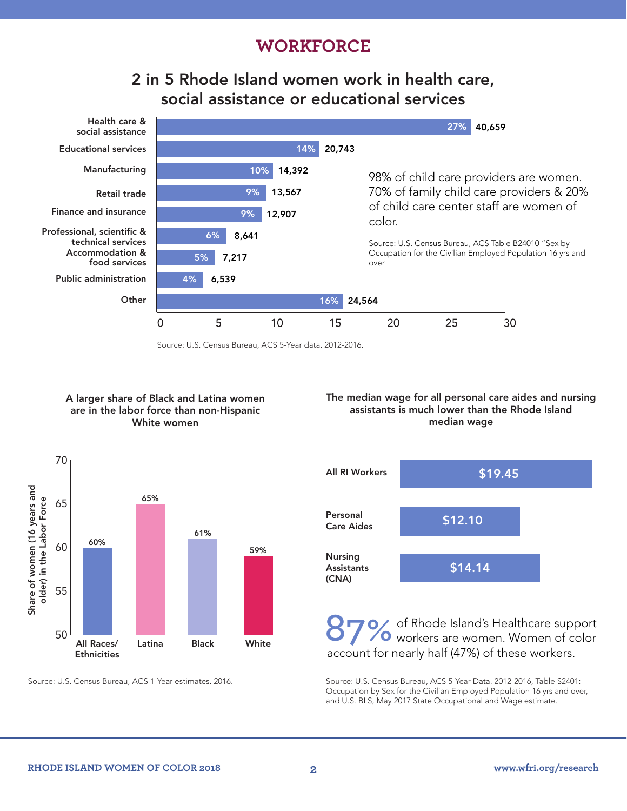#### **WORKFORCE**

#### 2 in 5 Rhode Island women work in health care, social assistance or educational services



Source: U.S. Census Bureau, ACS 5-Year data. 2012-2016.

#### A larger share of Black and Latina women are in the labor force than non-Hispanic White women

#### The median wage for all personal care aides and nursing assistants is much lower than the Rhode Island median wage





of Rhode Island's Healthcare support **Black** White **87%** of Rhode Island's Healthcare support **Black** White account for nearly half (47%) of these workers.

Source: U.S. Census Bureau, ACS 1-Year estimates. 2016. Source: U.S. Census Bureau, ACS 5-Year Data. 2012-2016, Table S2401: Occupation by Sex for the Civilian Employed Population 16 yrs and over, and U.S. BLS, May 2017 State Occupational and Wage estimate.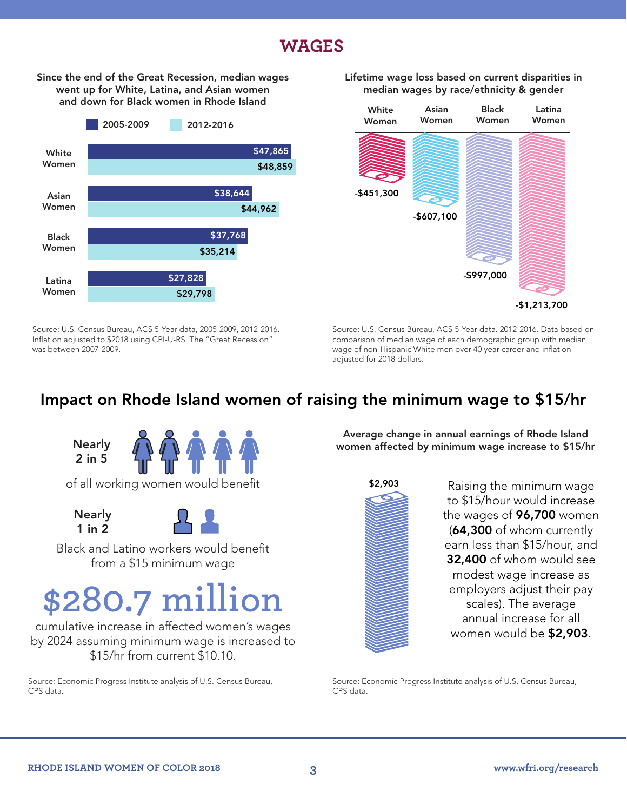#### **WAGES**

Since the end of the Great Recession, median wages went up for White, Latina, and Asian women and down for Black women in Rhode Island



Source: U.S. Census Bureau, ACS 5-Year data, 2005-2009, 2012-2016. Inflation adjusted to \$2018 using CPI-U-RS. The "Great Recession" was between 2007-2009.

#### Lifetime wage loss based on current disparities in median wages by race/ethnicity & gender



Source: U.S. Census Bureau, ACS 5-Year data. 2012-2016. Data based on comparison of median wage of each demographic group with median wage of non-Hispanic White men over 40 year career and inflationadjusted for 2018 dollars.

### Impact on Rhode Island women of raising the minimum wage to \$15/hr



**Nearly** 

1 in 2

Black and Latino workers would benefit from a \$15 minimum wage

# **\$280.7 million**

cumulative increase in affected women's wages by 2024 assuming minimum wage is increased to \$15/hr from current \$10.10.

Source: Economic Progress Institute analysis of U.S. Census Bureau, CPS data.

Average change in annual earnings of Rhode Island women affected by minimum wage increase to \$15/hr



Raising the minimum wage to \$15/hour would increase the wages of 96,700 women (64,300 of whom currently earn less than \$15/hour, and 32,400 of whom would see modest wage increase as employers adjust their pay scales). The average annual increase for all women would be \$2,903.

Source: Economic Progress Institute analysis of U.S. Census Bureau, CPS data.